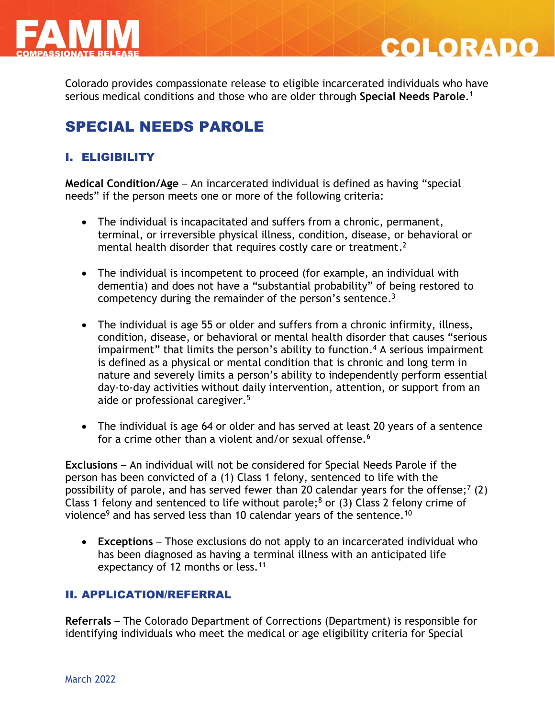

Colorado provides compassionate release to eligible incarcerated individuals who have serious medical conditions and those who are older through **Special Needs Parole**. 1

**COLORADO** 

# SPECIAL NEEDS PAROLE

## I. ELIGIBILITY

**Medical Condition/Age** – An incarcerated individual is defined as having "special needs" if the person meets one or more of the following criteria:

- The individual is incapacitated and suffers from a chronic, permanent, terminal, or irreversible physical illness, condition, disease, or behavioral or mental health disorder that requires costly care or treatment.<sup>2</sup>
- The individual is incompetent to proceed (for example, an individual with dementia) and does not have a "substantial probability" of being restored to competency during the remainder of the person's sentence.<sup>3</sup>
- The individual is age 55 or older and suffers from a chronic infirmity, illness, condition, disease, or behavioral or mental health disorder that causes "serious impairment" that limits the person's ability to function. <sup>4</sup> A serious impairment is defined as a physical or mental condition that is chronic and long term in nature and severely limits a person's ability to independently perform essential day-to-day activities without daily intervention, attention, or support from an aide or professional caregiver. 5
- The individual is age 64 or older and has served at least 20 years of a sentence for a crime other than a violent and/or sexual offense.<sup>6</sup>

**Exclusions** – An individual will not be considered for Special Needs Parole if the person has been convicted of a (1) Class 1 felony, sentenced to life with the possibility of parole, and has served fewer than 20 calendar years for the offense;<sup>7</sup> (2) Class 1 felony and sentenced to life without parole;<sup>8</sup> or (3) Class 2 felony crime of violence<sup>9</sup> and has served less than 10 calendar years of the sentence.<sup>10</sup>

 **Exceptions** – Those exclusions do not apply to an incarcerated individual who has been diagnosed as having a terminal illness with an anticipated life expectancy of 12 months or less.<sup>11</sup>

## II. APPLICATION/REFERRAL

**Referrals** – The Colorado Department of Corrections (Department) is responsible for identifying individuals who meet the medical or age eligibility criteria for Special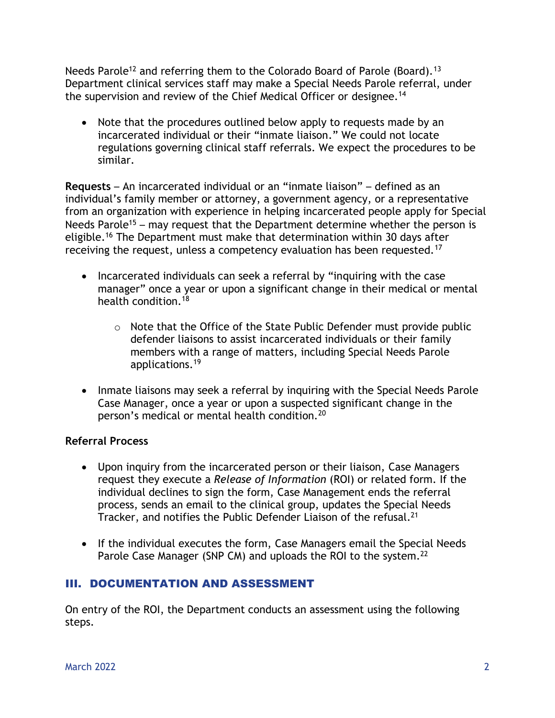Needs Parole<sup>12</sup> and referring them to the Colorado Board of Parole (Board).<sup>13</sup> Department clinical services staff may make a Special Needs Parole referral, under the supervision and review of the Chief Medical Officer or designee.<sup>14</sup>

• Note that the procedures outlined below apply to requests made by an incarcerated individual or their "inmate liaison." We could not locate regulations governing clinical staff referrals. We expect the procedures to be similar.

**Requests** – An incarcerated individual or an "inmate liaison" – defined as an individual's family member or attorney, a government agency, or a representative from an organization with experience in helping incarcerated people apply for Special Needs Parole<sup>15</sup> – may request that the Department determine whether the person is eligible.<sup>16</sup> The Department must make that determination within 30 days after receiving the request, unless a competency evaluation has been requested.<sup>17</sup>

- Incarcerated individuals can seek a referral by "inquiring with the case manager" once a year or upon a significant change in their medical or mental health condition.<sup>18</sup>
	- o Note that the Office of the State Public Defender must provide public defender liaisons to assist incarcerated individuals or their family members with a range of matters, including Special Needs Parole applications.<sup>19</sup>
- Inmate liaisons may seek a referral by inquiring with the Special Needs Parole Case Manager, once a year or upon a suspected significant change in the person's medical or mental health condition.<sup>20</sup>

### **Referral Process**

- Upon inquiry from the incarcerated person or their liaison, Case Managers request they execute a *Release of Information* (ROI) or related form. If the individual declines to sign the form, Case Management ends the referral process, sends an email to the clinical group, updates the Special Needs Tracker, and notifies the Public Defender Liaison of the refusal.<sup>21</sup>
- If the individual executes the form, Case Managers email the Special Needs Parole Case Manager (SNP CM) and uploads the ROI to the system.<sup>22</sup>

## III. DOCUMENTATION AND ASSESSMENT

On entry of the ROI, the Department conducts an assessment using the following steps.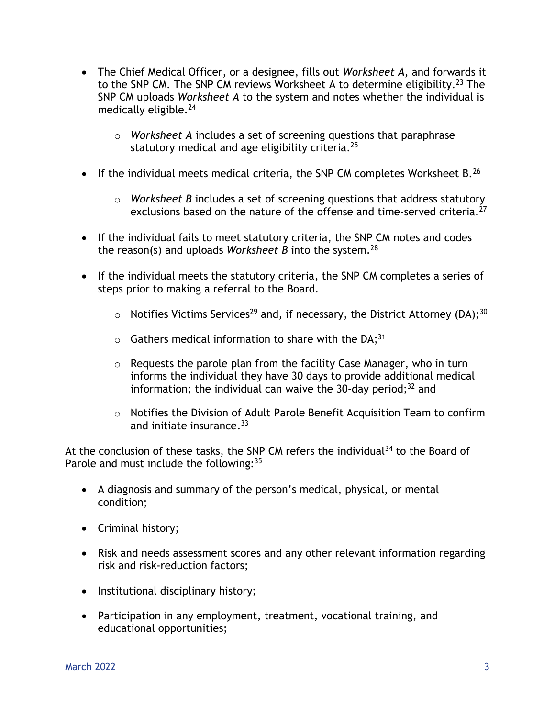- The Chief Medical Officer, or a designee, fills out *Worksheet A*, and forwards it to the SNP CM. The SNP CM reviews Worksheet A to determine eligibility.<sup>23</sup> The SNP CM uploads *Worksheet A* to the system and notes whether the individual is medically eligible.<sup>24</sup>
	- o *Worksheet A* includes a set of screening questions that paraphrase statutory medical and age eligibility criteria. 25
- If the individual meets medical criteria, the SNP CM completes Worksheet B.<sup>26</sup>
	- o *Worksheet B* includes a set of screening questions that address statutory exclusions based on the nature of the offense and time-served criteria.<sup>27</sup>
- If the individual fails to meet statutory criteria, the SNP CM notes and codes the reason(s) and uploads *Worksheet B* into the system.<sup>28</sup>
- If the individual meets the statutory criteria, the SNP CM completes a series of steps prior to making a referral to the Board.
	- $\circ$  Notifies Victims Services<sup>29</sup> and, if necessary, the District Attorney (DA);<sup>30</sup>
	- $\circ$  Gathers medical information to share with the DA;<sup>31</sup>
	- o Requests the parole plan from the facility Case Manager, who in turn informs the individual they have 30 days to provide additional medical information; the individual can waive the 30-day period; <sup>32</sup> and
	- o Notifies the Division of Adult Parole Benefit Acquisition Team to confirm and initiate insurance. 33

At the conclusion of these tasks, the SNP CM refers the individual $34$  to the Board of Parole and must include the following: 35

- A diagnosis and summary of the person's medical, physical, or mental condition;
- Criminal history;
- Risk and needs assessment scores and any other relevant information regarding risk and risk-reduction factors;
- Institutional disciplinary history;
- Participation in any employment, treatment, vocational training, and educational opportunities;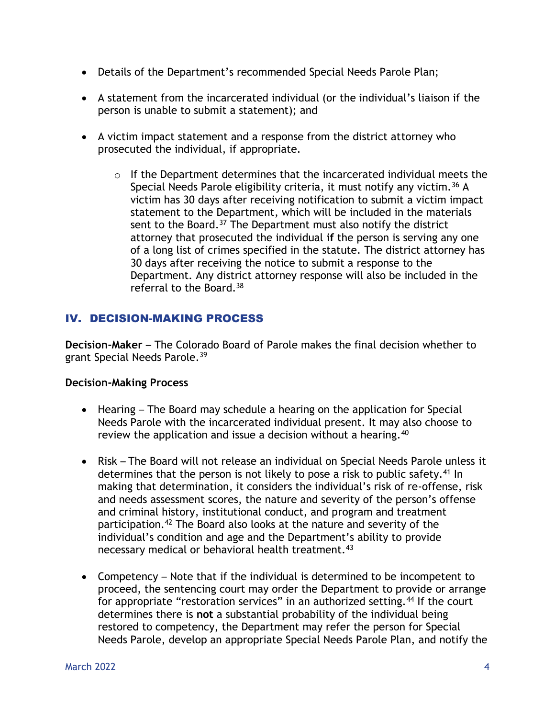- Details of the Department's recommended Special Needs Parole Plan;
- A statement from the incarcerated individual (or the individual's liaison if the person is unable to submit a statement); and
- A victim impact statement and a response from the district attorney who prosecuted the individual, if appropriate.
	- o If the Department determines that the incarcerated individual meets the Special Needs Parole eligibility criteria, it must notify any victim.<sup>36</sup> A victim has 30 days after receiving notification to submit a victim impact statement to the Department, which will be included in the materials sent to the Board.<sup>37</sup> The Department must also notify the district attorney that prosecuted the individual **if** the person is serving any one of a long list of crimes specified in the statute. The district attorney has 30 days after receiving the notice to submit a response to the Department. Any district attorney response will also be included in the referral to the Board.<sup>38</sup>

## IV. DECISION-MAKING PROCESS

**Decision-Maker** – The Colorado Board of Parole makes the final decision whether to grant Special Needs Parole.<sup>39</sup>

### **Decision-Making Process**

- Hearing The Board may schedule a hearing on the application for Special Needs Parole with the incarcerated individual present. It may also choose to review the application and issue a decision without a hearing.<sup>40</sup>
- Risk The Board will not release an individual on Special Needs Parole unless it determines that the person is not likely to pose a risk to public safety.<sup>41</sup> In making that determination, it considers the individual's risk of re-offense, risk and needs assessment scores, the nature and severity of the person's offense and criminal history, institutional conduct, and program and treatment participation.<sup>42</sup> The Board also looks at the nature and severity of the individual's condition and age and the Department's ability to provide necessary medical or behavioral health treatment.<sup>43</sup>
- Competency Note that if the individual is determined to be incompetent to proceed, the sentencing court may order the Department to provide or arrange for appropriate "restoration services" in an authorized setting.<sup>44</sup> If the court determines there is **not** a substantial probability of the individual being restored to competency, the Department may refer the person for Special Needs Parole, develop an appropriate Special Needs Parole Plan, and notify the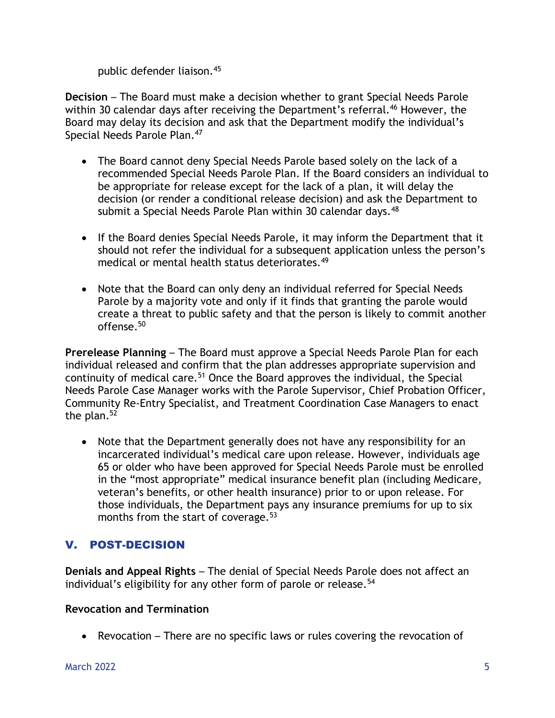public defender liaison.<sup>45</sup>

**Decision** – The Board must make a decision whether to grant Special Needs Parole within 30 calendar days after receiving the Department's referral.<sup>46</sup> However, the Board may delay its decision and ask that the Department modify the individual's Special Needs Parole Plan.<sup>47</sup>

- The Board cannot deny Special Needs Parole based solely on the lack of a recommended Special Needs Parole Plan. If the Board considers an individual to be appropriate for release except for the lack of a plan, it will delay the decision (or render a conditional release decision) and ask the Department to submit a Special Needs Parole Plan within 30 calendar days.<sup>48</sup>
- If the Board denies Special Needs Parole, it may inform the Department that it should not refer the individual for a subsequent application unless the person's medical or mental health status deteriorates.<sup>49</sup>
- Note that the Board can only deny an individual referred for Special Needs Parole by a majority vote and only if it finds that granting the parole would create a threat to public safety and that the person is likely to commit another offense.<sup>50</sup>

**Prerelease Planning** – The Board must approve a Special Needs Parole Plan for each individual released and confirm that the plan addresses appropriate supervision and continuity of medical care.<sup>51</sup> Once the Board approves the individual, the Special Needs Parole Case Manager works with the Parole Supervisor, Chief Probation Officer, Community Re-Entry Specialist, and Treatment Coordination Case Managers to enact the plan. $52$ 

 Note that the Department generally does not have any responsibility for an incarcerated individual's medical care upon release. However, individuals age 65 or older who have been approved for Special Needs Parole must be enrolled in the "most appropriate" medical insurance benefit plan (including Medicare, veteran's benefits, or other health insurance) prior to or upon release. For those individuals, the Department pays any insurance premiums for up to six months from the start of coverage. $53$ 

## V. POST-DECISION

**Denials and Appeal Rights** – The denial of Special Needs Parole does not affect an individual's eligibility for any other form of parole or release.<sup>54</sup>

### **Revocation and Termination**

• Revocation – There are no specific laws or rules covering the revocation of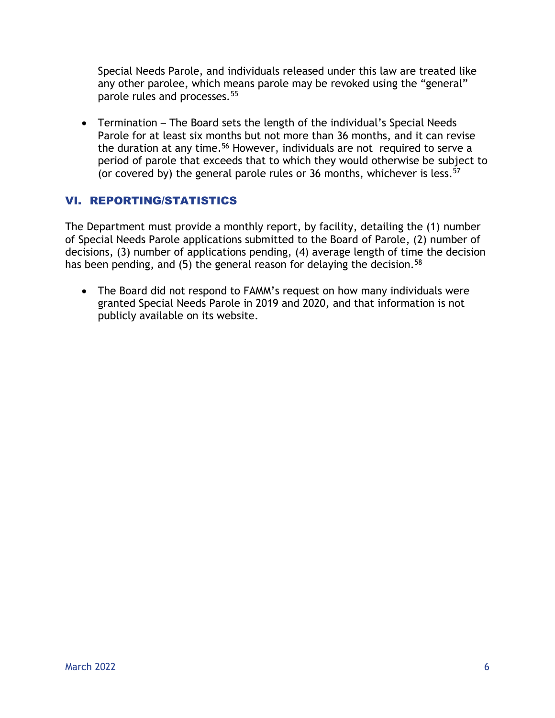Special Needs Parole, and individuals released under this law are treated like any other parolee, which means parole may be revoked using the "general" parole rules and processes.<sup>55</sup>

 Termination – The Board sets the length of the individual's Special Needs Parole for at least six months but not more than 36 months, and it can revise the duration at any time.<sup>56</sup> However, individuals are not required to serve a period of parole that exceeds that to which they would otherwise be subject to (or covered by) the general parole rules or 36 months, whichever is less.  $57$ 

## VI. REPORTING/STATISTICS

The Department must provide a monthly report, by facility, detailing the (1) number of Special Needs Parole applications submitted to the Board of Parole, (2) number of decisions, (3) number of applications pending, (4) average length of time the decision has been pending, and (5) the general reason for delaying the decision.<sup>58</sup>

• The Board did not respond to FAMM's request on how many individuals were granted Special Needs Parole in 2019 and 2020, and that information is not publicly available on its website.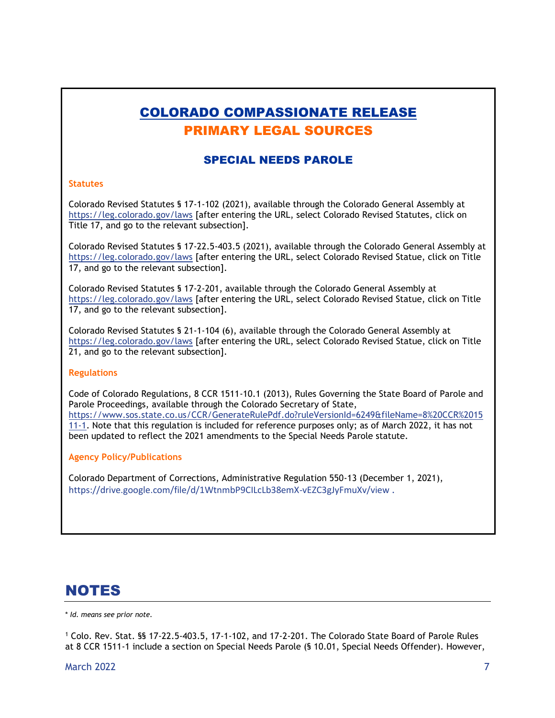# COLORADO COMPASSIONATE RELEASE PRIMARY LEGAL SOURCES

#### SPECIAL NEEDS PAROLE

#### **Statutes**

Colorado Revised Statutes § 17-1-102 (2021), available through the Colorado General Assembly at <https://leg.colorado.gov/laws> [after entering the URL, select Colorado Revised Statutes, click on Title 17, and go to the relevant subsection].

Colorado Revised Statutes § 17-22.5-403.5 (2021), available through the Colorado General Assembly at <https://leg.colorado.gov/laws> [after entering the URL, select Colorado Revised Statue, click on Title 17, and go to the relevant subsection].

Colorado Revised Statutes § 17-2-201, available through the Colorado General Assembly at <https://leg.colorado.gov/laws> [after entering the URL, select Colorado Revised Statue, click on Title 17, and go to the relevant subsection].

Colorado Revised Statutes § 21-1-104 (6), available through the Colorado General Assembly at <https://leg.colorado.gov/laws> [after entering the URL, select Colorado Revised Statue, click on Title 21, and go to the relevant subsection].

#### **Regulations**

Code of Colorado Regulations, 8 CCR 1511-10.1 (2013), Rules Governing the State Board of Parole and Parole Proceedings, available through the Colorado Secretary of State, [https://www.sos.state.co.us/CCR/GenerateRulePdf.do?ruleVersionId=6249&fileName=8%20CCR%2015](https://www.sos.state.co.us/CCR/GenerateRulePdf.do?ruleVersionId=6249&fileName=8%20CCR%201511-1) [11-1.](https://www.sos.state.co.us/CCR/GenerateRulePdf.do?ruleVersionId=6249&fileName=8%20CCR%201511-1) Note that this regulation is included for reference purposes only; as of March 2022, it has not been updated to reflect the 2021 amendments to the Special Needs Parole statute.

#### **Agency Policy/Publications**

Colorado Department of Corrections, Administrative Regulation 550-13 (December 1, 2021), <https://drive.google.com/file/d/1WtnmbP9CILcLb38emX-vEZC3gJyFmuXv/view> .

# NOTES

\* *Id. means see prior note.*

<sup>1</sup> Colo. Rev. Stat. §§ 17-22.5-403.5, 17-1-102, and 17-2-201. The Colorado State Board of Parole Rules at 8 CCR 1511-1 include a section on Special Needs Parole (§ 10.01, Special Needs Offender). However,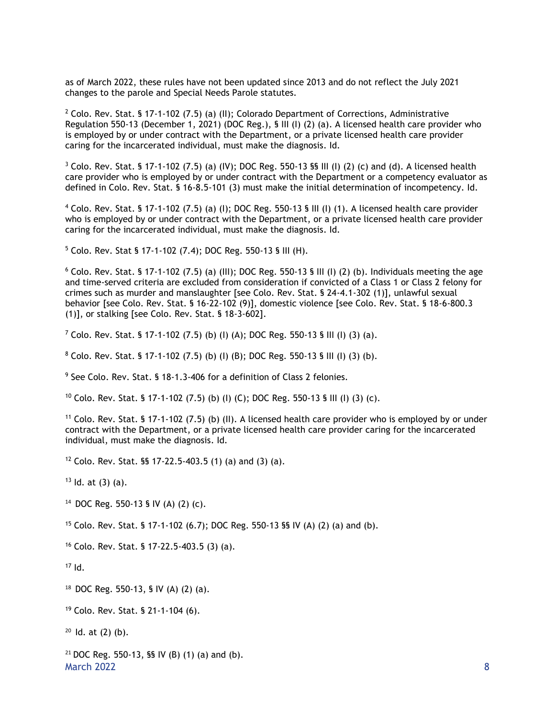as of March 2022, these rules have not been updated since 2013 and do not reflect the July 2021 changes to the parole and Special Needs Parole statutes.

<sup>2</sup> Colo. Rev. Stat. § 17-1-102 (7.5) (a) (II); Colorado Department of Corrections, Administrative Regulation 550-13 (December 1, 2021) (DOC Reg.), § III (I) (2) (a). A licensed health care provider who is employed by or under contract with the Department, or a private licensed health care provider caring for the incarcerated individual, must make the diagnosis. Id.

 $3$  Colo. Rev. Stat. § 17-1-102 (7.5) (a) (IV); DOC Reg. 550-13 §§ III (I) (2) (c) and (d). A licensed health care provider who is employed by or under contract with the Department or a competency evaluator as defined in Colo. Rev. Stat. § 16-8.5-101 (3) must make the initial determination of incompetency. Id.

 $4$  Colo. Rev. Stat. § 17-1-102 (7.5) (a) (I); DOC Reg. 550-13 § III (I) (1). A licensed health care provider who is employed by or under contract with the Department, or a private licensed health care provider caring for the incarcerated individual, must make the diagnosis. Id.

<sup>5</sup> Colo. Rev. Stat § 17-1-102 (7.4); DOC Reg. 550-13 § III (H).

 $6$  Colo. Rev. Stat. § 17-1-102 (7.5) (a) (III); DOC Reg. 550-13 § III (I) (2) (b). Individuals meeting the age and time-served criteria are excluded from consideration if convicted of a Class 1 or Class 2 felony for crimes such as murder and manslaughter [see Colo. Rev. Stat. § 24-4.1-302 (1)], unlawful sexual behavior [see Colo. Rev. Stat. § 16-22-102 (9)], domestic violence [see Colo. Rev. Stat. § 18-6-800.3 (1)], or stalking [see Colo. Rev. Stat. § 18-3-602].

 $7$  Colo. Rev. Stat. § 17-1-102 (7.5) (b) (l) (A); DOC Reg. 550-13 § III (I) (3) (a).

 $8$  Colo. Rev. Stat. § 17-1-102 (7.5) (b) (l) (B); DOC Reg. 550-13 § III (I) (3) (b).

<sup>9</sup> See Colo. Rev. Stat. § 18-1.3-406 for a definition of Class 2 felonies.

<sup>10</sup> Colo. Rev. Stat. § 17-1-102 (7.5) (b) (I) (C); DOC Reg. 550-13 § III (I) (3) (c).

<sup>11</sup> Colo. Rev. Stat. § 17-1-102 (7.5) (b) (II). A licensed health care provider who is employed by or under contract with the Department, or a private licensed health care provider caring for the incarcerated individual, must make the diagnosis. Id.

<sup>12</sup> Colo. Rev. Stat. §§ 17-22.5-403.5 (1) (a) and (3) (a).

 $13$  Id. at (3) (a).

14 DOC Reg. 550-13 § IV (A) (2) (c).

<sup>15</sup> Colo. Rev. Stat. § 17-1-102 (6.7); DOC Reg. 550-13 §§ IV (A) (2) (a) and (b).

<sup>16</sup> Colo. Rev. Stat. § 17-22.5-403.5 (3) (a).

 $17$  Id.

18 DOC Reg. 550-13, § IV (A) (2) (a).

<sup>19</sup> Colo. Rev. Stat. § 21-1-104 (6).

 $20$  ld. at  $(2)$  (b).

March 2022 8 <sup>21</sup> DOC Reg. 550-13, **§§** IV (B) (1) (a) and (b).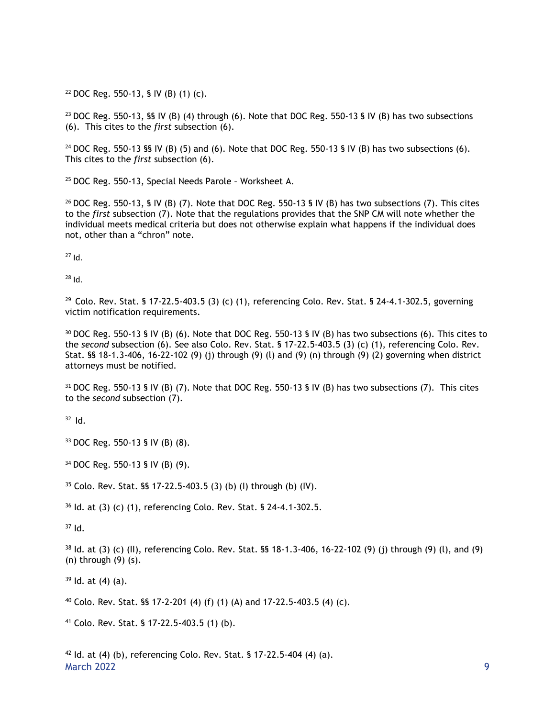<sup>22</sup> DOC Reg. 550-13, § IV (B) (1) (c).

<sup>23</sup> DOC Reg. 550-13, §§ IV (B) (4) through (6). Note that DOC Reg. 550-13 § IV (B) has two subsections (6). This cites to the *first* subsection (6).

<sup>24</sup> DOC Reg. 550-13 §§ IV (B) (5) and (6). Note that DOC Reg. 550-13 § IV (B) has two subsections (6). This cites to the *first* subsection (6).

<sup>25</sup> DOC Reg. 550-13, Special Needs Parole – Worksheet A.

<sup>26</sup> DOC Reg. 550-13, § IV (B) (7). Note that DOC Reg. 550-13 § IV (B) has two subsections (7). This cites to the *first* subsection (7). Note that the regulations provides that the SNP CM will note whether the individual meets medical criteria but does not otherwise explain what happens if the individual does not, other than a "chron" note.

<sup>27</sup> Id.

 $28$  Id.

29 Colo. Rev. Stat. § 17-22.5-403.5 (3) (c) (1), referencing Colo. Rev. Stat. § 24-4.1-302.5, governing victim notification requirements.

<sup>30</sup> DOC Reg. 550-13 § IV (B) (6). Note that DOC Reg. 550-13 § IV (B) has two subsections (6). This cites to the *second* subsection (6). See also Colo. Rev. Stat. § 17-22.5-403.5 (3) (c) (1), referencing Colo. Rev. Stat. §§ 18-1.3-406, 16-22-102 (9) (j) through (9) (l) and (9) (n) through (9) (2) governing when district attorneys must be notified.

<sup>31</sup> DOC Reg. 550-13 § IV (B) (7). Note that DOC Reg. 550-13 § IV (B) has two subsections (7). This cites to the *second* subsection (7).

 $32$  Id.

<sup>33</sup> DOC Reg. 550-13 § IV (B) (8).

<sup>34</sup> DOC Reg. 550-13 § IV (B) (9).

 $35$  Colo. Rev. Stat. §§ 17-22.5-403.5 (3) (b) (l) through (b) (IV).

<sup>36</sup> Id. at (3) (c) (1), referencing Colo. Rev. Stat. § 24-4.1-302.5.

 $37$  Id.

 $38$  Id. at (3) (c) (II), referencing Colo. Rev. Stat. §§ 18-1.3-406, 16-22-102 (9) (i) through (9) (l), and (9) (n) through (9) (s).

 $39$  Id. at (4) (a).

 $40$  Colo. Rev. Stat. §§ 17-2-201 (4) (f) (1) (A) and 17-22.5-403.5 (4) (c).

<sup>41</sup> Colo. Rev. Stat. § 17-22.5-403.5 (1) (b).

March 2022 **9**  $42$  Id. at (4) (b), referencing Colo. Rev. Stat. § 17-22.5-404 (4) (a).